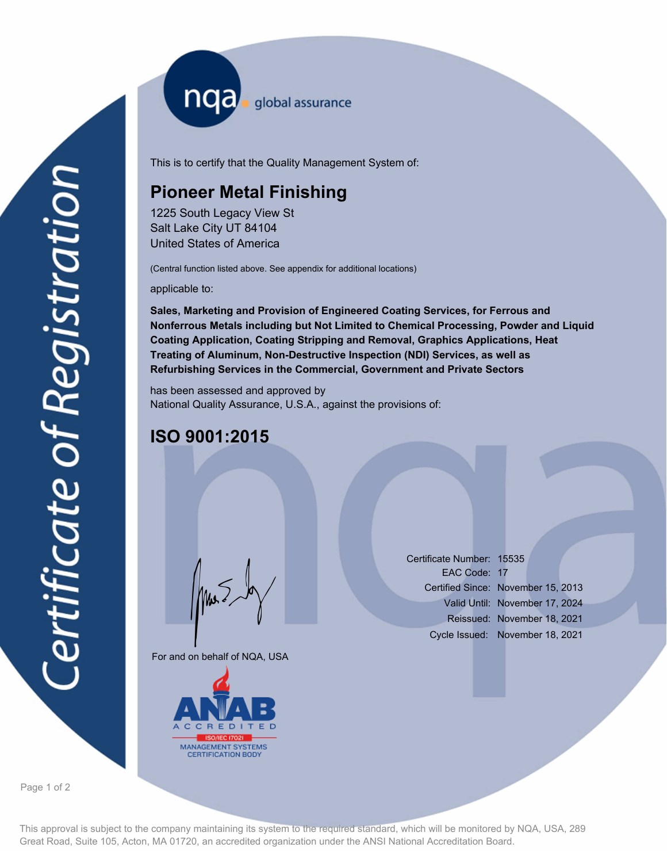nqa <sub>global assurance</sub>

This is to certify that the Quality Management System of:

# **Pioneer Metal Finishing**

1225 South Legacy View St Salt Lake City UT 84104 United States of America

(Central function listed above. See appendix for additional locations)

applicable to:

**Sales, Marketing and Provision of Engineered Coating Services, for Ferrous and Nonferrous Metals including but Not Limited to Chemical Processing, Powder and Liquid Coating Application, Coating Stripping and Removal, Graphics Applications, Heat Treating of Aluminum, Non-Destructive Inspection (NDI) Services, as well as Refurbishing Services in the Commercial, Government and Private Sectors**

has been assessed and approved by National Quality Assurance, U.S.A., against the provisions of:

## **ISO 9001:2015**

For and on behalf of NQA, USA

Mus



Certificate Number: 15535 EAC Code: 17 Certified Since: November 15, 2013 Valid Until: November 17, 2024 Reissued: November 18, 2021 Cycle Issued: November 18, 2021

Page 1 of 2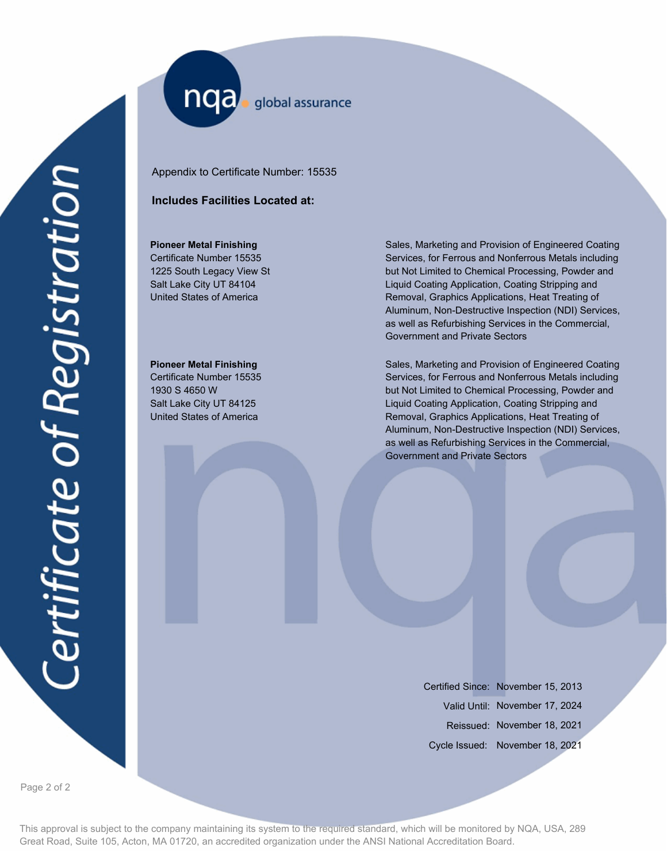nqa. global assurance

Appendix to Certificate Number: 15535

### **Includes Facilities Located at:**

#### **Pioneer Metal Finishing**

Certificate Number 15535 1225 South Legacy View St Salt Lake City UT 84104 United States of America

### **Pioneer Metal Finishing**

Certificate Number 15535 1930 S 4650 W Salt Lake City UT 84125 United States of America

Sales, Marketing and Provision of Engineered Coating Services, for Ferrous and Nonferrous Metals including but Not Limited to Chemical Processing, Powder and Liquid Coating Application, Coating Stripping and Removal, Graphics Applications, Heat Treating of Aluminum, Non-Destructive Inspection (NDI) Services, as well as Refurbishing Services in the Commercial, Government and Private Sectors

Sales, Marketing and Provision of Engineered Coating Services, for Ferrous and Nonferrous Metals including but Not Limited to Chemical Processing, Powder and Liquid Coating Application, Coating Stripping and Removal, Graphics Applications, Heat Treating of Aluminum, Non-Destructive Inspection (NDI) Services, as well as Refurbishing Services in the Commercial, Government and Private Sectors

> Certified Since: November 15, 2013 Valid Until: November 17, 2024 Reissued: November 18, 2021 Cycle Issued: November 18, 2021

Page 2 of 2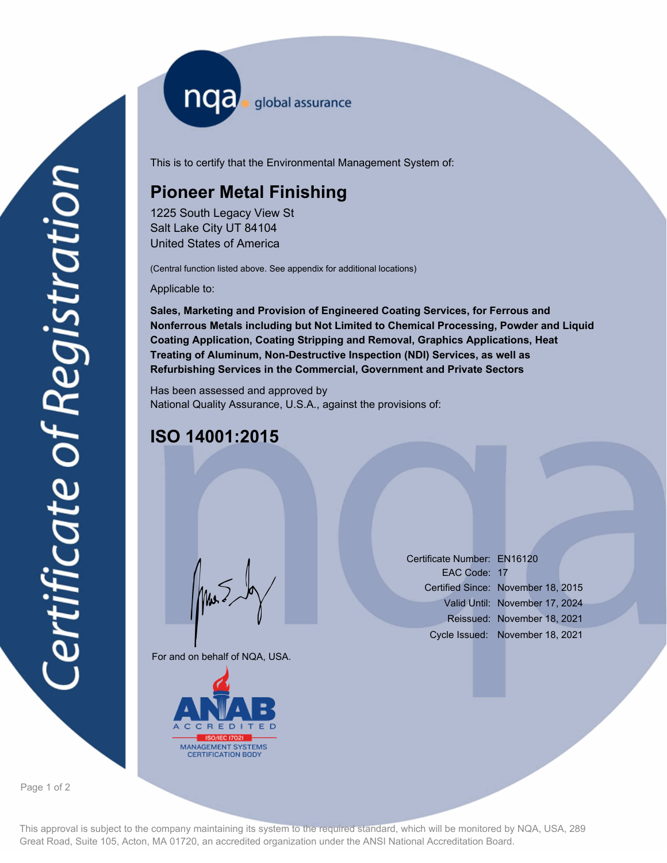nqa <sub>global assurance</sub>

This is to certify that the Environmental Management System of:

# **Pioneer Metal Finishing**

1225 South Legacy View St Salt Lake City UT 84104 United States of America

(Central function listed above. See appendix for additional locations)

Applicable to:

**Sales, Marketing and Provision of Engineered Coating Services, for Ferrous and Nonferrous Metals including but Not Limited to Chemical Processing, Powder and Liquid Coating Application, Coating Stripping and Removal, Graphics Applications, Heat Treating of Aluminum, Non-Destructive Inspection (NDI) Services, as well as Refurbishing Services in the Commercial, Government and Private Sectors**

Has been assessed and approved by National Quality Assurance, U.S.A., against the provisions of:

## **ISO 14001:2015**

For and on behalf of NQA, USA.

Mus



Certificate Number: EN16120 EAC Code: 17 Certified Since: November 18, 2015 Valid Until: November 17, 2024 Reissued: November 18, 2021 Cycle Issued: November 18, 2021

Page 1 of 2